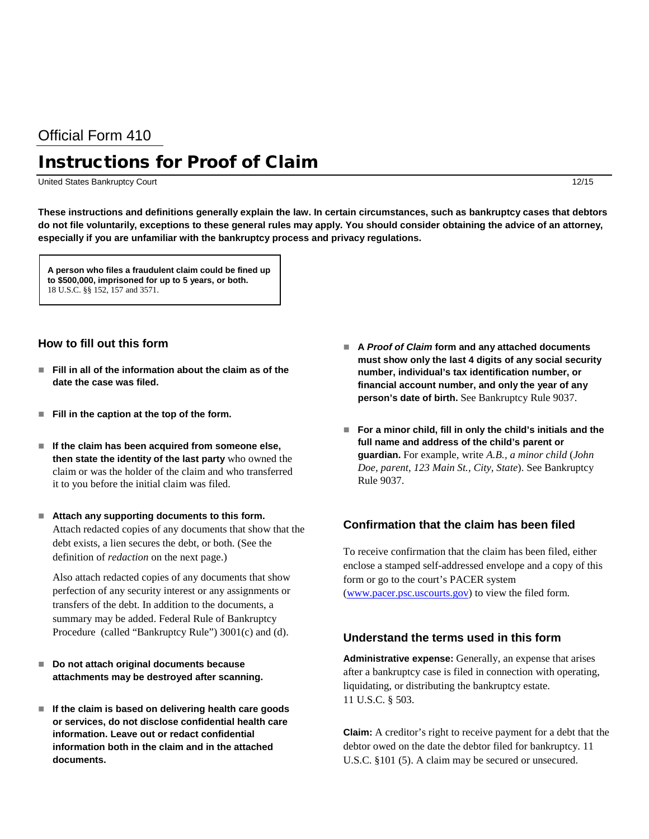## Official Form 410

# Instructions for Proof of Claim

United States Bankruptcy Court 12/15

**These instructions and definitions generally explain the law. In certain circumstances, such as bankruptcy cases that debtors do not file voluntarily, exceptions to these general rules may apply. You should consider obtaining the advice of an attorney, especially if you are unfamiliar with the bankruptcy process and privacy regulations.**

**A person who files a fraudulent claim could be fined up to \$500,000, imprisoned for up to 5 years, or both.**  18 U.S.C. §§ 152, 157 and 3571.

#### **How to fill out this form**

- **Fill in all of the information about the claim as of the date the case was filed.**
- Fill in the caption at the top of the form.
- If the claim has been acquired from someone else, **then state the identity of the last party** who owned the claim or was the holder of the claim and who transferred it to you before the initial claim was filed.
- **Attach any supporting documents to this form.** Attach redacted copies of any documents that show that the debt exists, a lien secures the debt, or both. (See the definition of *redaction* on the next page.)

Also attach redacted copies of any documents that show perfection of any security interest or any assignments or transfers of the debt. In addition to the documents, a summary may be added. Federal Rule of Bankruptcy Procedure (called "Bankruptcy Rule") 3001(c) and (d).

- Do not attach original documents because **attachments may be destroyed after scanning.**
- **If the claim is based on delivering health care goods or services, do not disclose confidential health care information. Leave out or redact confidential information both in the claim and in the attached documents.**
- A Proof of Claim form and any attached documents **must show only the last 4 digits of any social security number, individual's tax identification number, or financial account number, and only the year of any person's date of birth.** See Bankruptcy Rule 9037.
- **For a minor child, fill in only the child's initials and the full name and address of the child's parent or guardian.** For example, write *A.B., a minor child* (*John Doe, parent, 123 Main St., City, State*). See Bankruptcy Rule 9037.

#### **Confirmation that the claim has been filed**

To receive confirmation that the claim has been filed, either enclose a stamped self-addressed envelope and a copy of this form or go to the court's PACER system [\(www.pacer.psc.uscourts.gov\)](http://www.pacer.psc.uscourts.gov/) to view the filed form.

### **Understand the terms used in this form**

**Administrative expense:** Generally, an expense that arises after a bankruptcy case is filed in connection with operating, liquidating, or distributing the bankruptcy estate. 11 U.S.C. § 503.

**Claim:** A creditor's right to receive payment for a debt that the debtor owed on the date the debtor filed for bankruptcy. 11 U.S.C. §101 (5). A claim may be secured or unsecured.